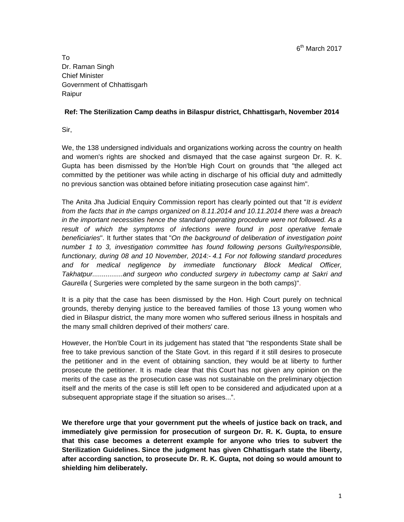$6<sup>th</sup>$  March 2017

To Dr. Raman Singh Chief Minister Government of Chhattisgarh Raipur

## **Ref: The Sterilization Camp deaths in Bilaspur district, Chhattisgarh, November 2014**

Sir,

We, the 138 undersigned individuals and organizations working across the country on health and women's rights are shocked and dismayed that the case against surgeon Dr. R. K. Gupta has been dismissed by the Hon'ble High Court on grounds that "the alleged act committed by the petitioner was while acting in discharge of his official duty and admittedly no previous sanction was obtained before initiating prosecution case against him".

The Anita Jha Judicial Enquiry Commission report has clearly pointed out that "*It is evident from the facts that in the camps organized on 8.11.2014 and 10.11.2014 there was a breach in the important necessities hence the standard operating procedure were not followed. As a*  result of which the symptoms of infections were found in post operative female *beneficiaries*". It further states that "*On the background of deliberation of investigation point number 1 to 3, investigation committee has found following persons Guilty/responsible, functionary, during 08 and 10 November, 2014:- 4.1 For not following standard procedures and for medical negligence by immediate functionary Block Medical Officer, Takhatpur................and surgeon who conducted surgery in tubectomy camp at Sakri and Gaurella* ( Surgeries were completed by the same surgeon in the both camps)".

It is a pity that the case has been dismissed by the Hon. High Court purely on technical grounds, thereby denying justice to the bereaved families of those 13 young women who died in Bilaspur district, the many more women who suffered serious illness in hospitals and the many small children deprived of their mothers' care.

However, the Hon'ble Court in its judgement has stated that "the respondents State shall be free to take previous sanction of the State Govt. in this regard if it still desires to prosecute the petitioner and in the event of obtaining sanction, they would be at liberty to further prosecute the petitioner. It is made clear that this Court has not given any opinion on the merits of the case as the prosecution case was not sustainable on the preliminary objection itself and the merits of the case is still left open to be considered and adjudicated upon at a subsequent appropriate stage if the situation so arises...".

**We therefore urge that your government put the wheels of justice back on track, and immediately give permission for prosecution of surgeon Dr. R. K. Gupta, to ensure that this case becomes a deterrent example for anyone who tries to subvert the Sterilization Guidelines. Since the judgment has given Chhattisgarh state the liberty, after according sanction, to prosecute Dr. R. K. Gupta, not doing so would amount to shielding him deliberately.**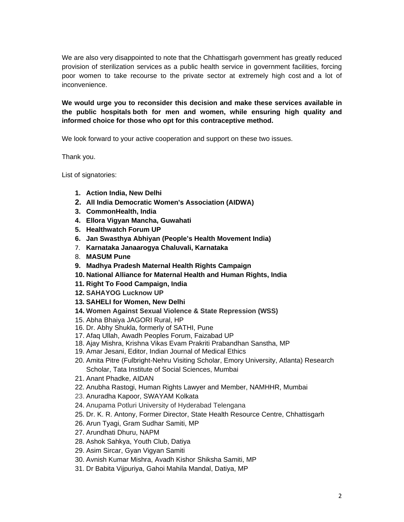We are also very disappointed to note that the Chhattisgarh government has greatly reduced provision of sterilization services as a public health service in government facilities, forcing poor women to take recourse to the private sector at extremely high cost and a lot of inconvenience.

**We would urge you to reconsider this decision and make these services available in the public hospitals both for men and women, while ensuring high quality and informed choice for those who opt for this contraceptive method.** 

We look forward to your active cooperation and support on these two issues.

Thank you.

List of signatories:

- **1. Action India, New Delhi**
- **2. All India Democratic Women's Association (AIDWA)**
- **3. CommonHealth, India**
- **4. Ellora Vigyan Mancha, Guwahati**
- **5. Healthwatch Forum UP**
- **6. Jan Swasthya Abhiyan (People's Health Movement India)**
- 7. **Karnataka Janaarogya Chaluvali, Karnataka**
- 8. **MASUM Pune**
- **9. Madhya Pradesh Maternal Health Rights Campaign**
- **10. National Alliance for Maternal Health and Human Rights, India**
- **11. Right To Food Campaign, India**
- **12. SAHAYOG Lucknow UP**
- **13. SAHELI for Women, New Delhi**
- **14. Women Against Sexual Violence & State Repression (WSS)**
- 15. Abha Bhaiya JAGORI Rural, HP
- 16. Dr. Abhy Shukla, formerly of SATHI, Pune
- 17. Afaq Ullah, Awadh Peoples Forum, Faizabad UP
- 18. Ajay Mishra, Krishna Vikas Evam Prakriti Prabandhan Sanstha, MP
- 19. Amar Jesani, Editor, Indian Journal of Medical Ethics
- 20. Amita Pitre (Fulbright-Nehru Visiting Scholar, Emory University, Atlanta) Research Scholar, Tata Institute of Social Sciences, Mumbai
- 21. Anant Phadke, AIDAN
- 22. Anubha Rastogi, Human Rights Lawyer and Member, NAMHHR, Mumbai
- 23. Anuradha Kapoor, SWAYAM Kolkata
- 24. Anupama Potluri University of Hyderabad Telengana
- 25. Dr. K. R. Antony, Former Director, State Health Resource Centre, Chhattisgarh
- 26. Arun Tyagi, Gram Sudhar Samiti, MP
- 27. Arundhati Dhuru, NAPM
- 28. Ashok Sahkya, Youth Club, Datiya
- 29. Asim Sircar, Gyan Vigyan Samiti
- 30. Avnish Kumar Mishra, Avadh Kishor Shiksha Samiti, MP
- 31. Dr Babita Vijpuriya, Gahoi Mahila Mandal, Datiya, MP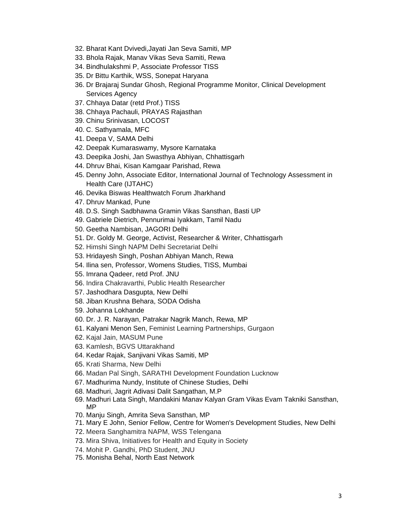- 32. Bharat Kant Dvivedi,Jayati Jan Seva Samiti, MP
- 33. Bhola Rajak, Manav Vikas Seva Samiti, Rewa
- 34. Bindhulakshmi P, Associate Professor TISS
- 35. Dr Bittu Karthik, WSS, Sonepat Haryana
- 36. Dr Brajaraj Sundar Ghosh, Regional Programme Monitor, Clinical Development Services Agency
- 37. Chhaya Datar (retd Prof.) TISS
- 38. Chhaya Pachauli, PRAYAS Rajasthan
- 39. Chinu Srinivasan, LOCOST
- 40. C. Sathyamala, MFC
- 41. Deepa V, SAMA Delhi
- 42. Deepak Kumaraswamy, Mysore Karnataka
- 43. Deepika Joshi, Jan Swasthya Abhiyan, Chhattisgarh
- 44. Dhruv Bhai, Kisan Kamgaar Parishad, Rewa
- 45. Denny John, Associate Editor, International Journal of Technology Assessment in Health Care (IJTAHC)
- 46. Devika Biswas Healthwatch Forum Jharkhand
- 47. Dhruv Mankad, Pune
- 48. D.S. Singh Sadbhawna Gramin Vikas Sansthan, Basti UP
- 49. Gabriele Dietrich, Pennurimai Iyakkam, Tamil Nadu
- 50. Geetha Nambisan, JAGORI Delhi
- 51. Dr. Goldy M. George, Activist, Researcher & Writer, Chhattisgarh
- 52. Himshi Singh NAPM Delhi Secretariat Delhi
- 53. Hridayesh Singh, Poshan Abhiyan Manch, Rewa
- 54. Ilina sen, Professor, Womens Studies, TISS, Mumbai
- 55. Imrana Qadeer, retd Prof. JNU
- 56. Indira Chakravarthi, Public Health Researcher
- 57. Jashodhara Dasgupta, New Delhi
- 58. Jiban Krushna Behara, SODA Odisha
- 59. Johanna Lokhande
- 60. Dr. J. R. Narayan, Patrakar Nagrik Manch, Rewa, MP
- 61. Kalyani Menon Sen, Feminist Learning Partnerships, Gurgaon
- 62. Kajal Jain, MASUM Pune
- 63. Kamlesh, BGVS Uttarakhand
- 64. Kedar Rajak, Sanjivani Vikas Samiti, MP
- 65. Krati Sharma, New Delhi
- 66. Madan Pal Singh, SARATHI Development Foundation Lucknow
- 67. Madhurima Nundy, Institute of Chinese Studies, Delhi
- 68. Madhuri, Jagrit Adivasi Dalit Sangathan, M.P
- 69. Madhuri Lata Singh, Mandakini Manav Kalyan Gram Vikas Evam Takniki Sansthan, MP
- 70. Manju Singh, Amrita Seva Sansthan, MP
- 71. Mary E John, Senior Fellow, Centre for Women's Development Studies, New Delhi
- 72. Meera Sanghamitra NAPM, WSS Telengana
- 73. Mira Shiva, Initiatives for Health and Equity in Society
- 74. Mohit P. Gandhi, PhD Student, JNU
- 75. Monisha Behal, North East Network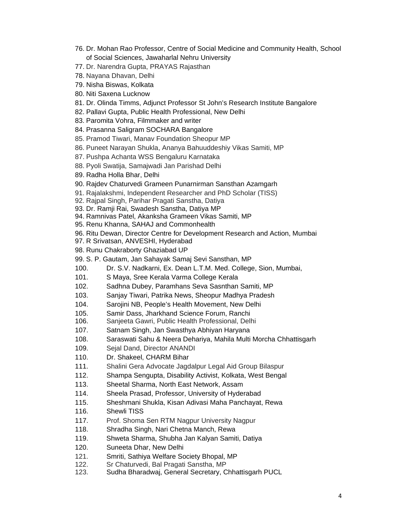- 76. Dr. Mohan Rao Professor, Centre of Social Medicine and Community Health, School of Social Sciences, Jawaharlal Nehru University
- 77. Dr. Narendra Gupta, PRAYAS Rajasthan
- 78. Nayana Dhavan, Delhi
- 79. Nisha Biswas, Kolkata
- 80. Niti Saxena Lucknow
- 81. Dr. Olinda Timms, Adjunct Professor St John's Research Institute Bangalore
- 82. Pallavi Gupta, Public Health Professional, New Delhi
- 83. Paromita Vohra, Filmmaker and writer
- 84. Prasanna Saligram SOCHARA Bangalore
- 85. Pramod Tiwari, Manav Foundation Sheopur MP
- 86. Puneet Narayan Shukla, Ananya Bahuuddeshiy Vikas Samiti, MP
- 87. Pushpa Achanta WSS Bengaluru Karnataka
- 88. Pyoli Swatija, Samajwadi Jan Parishad Delhi
- 89. Radha Holla Bhar, Delhi
- 90. Rajdev Chaturvedi Grameen Punarnirman Sansthan Azamgarh
- 91. Rajalakshmi, Independent Researcher and PhD Scholar (TISS)
- 92. Rajpal Singh, Parihar Pragati Sanstha, Datiya
- 93. Dr. Ramji Rai, Swadesh Sanstha, Datiya MP
- 94. Ramnivas Patel, Akanksha Grameen Vikas Samiti, MP
- 95. Renu Khanna, SAHAJ and Commonhealth
- 96. Ritu Dewan, Director Centre for Development Research and Action, Mumbai
- 97. R Srivatsan, ANVESHI, Hyderabad
- 98. Runu Chakraborty Ghaziabad UP
- 99. S. P. Gautam, Jan Sahayak Samaj Sevi Sansthan, MP
- 100. Dr. S.V. Nadkarni, Ex. Dean L.T.M. Med. College, Sion, Mumbai,
- 101. S Maya, Sree Kerala Varma College Kerala
- 102. Sadhna Dubey, Paramhans Seva Sasnthan Samiti, MP
- 103. Sanjay Tiwari, Patrika News, Sheopur Madhya Pradesh
- 104. Sarojini NB, People's Health Movement, New Delhi
- 105. Samir Dass, Jharkhand Science Forum, Ranchi
- 106. Sanjeeta Gawri, Public Health Professional, Delhi
- 107. Satnam Singh, Jan Swasthya Abhiyan Haryana
- 108. Saraswati Sahu & Neera Dehariya, Mahila Multi Morcha Chhattisgarh
- 109. Sejal Dand, Director ANANDI
- 110. Dr. Shakeel, CHARM Bihar
- 111. Shalini Gera Advocate Jagdalpur Legal Aid Group Bilaspur
- 112. Shampa Sengupta, Disability Activist, Kolkata, West Bengal
- 113. Sheetal Sharma, North East Network, Assam
- 114. Sheela Prasad, Professor, University of Hyderabad
- 115. Sheshmani Shukla, Kisan Adivasi Maha Panchayat, Rewa
- 116. Shewli TISS
- 117. Prof. Shoma Sen RTM Nagpur University Nagpur
- 118. Shradha Singh, Nari Chetna Manch, Rewa
- 119. Shweta Sharma, Shubha Jan Kalyan Samiti, Datiya
- 120. Suneeta Dhar, New Delhi
- 121. Smriti, Sathiya Welfare Society Bhopal, MP
- 122. Sr Chaturvedi, Bal Pragati Sanstha, MP
- 123. Sudha Bharadwaj, General Secretary, Chhattisgarh PUCL